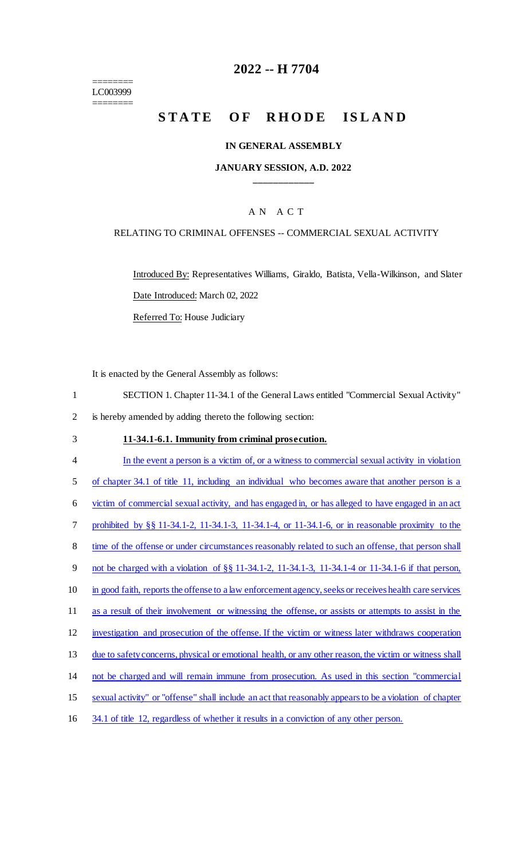======== LC003999 ========

# **2022 -- H 7704**

# **STATE OF RHODE ISLAND**

### **IN GENERAL ASSEMBLY**

### **JANUARY SESSION, A.D. 2022 \_\_\_\_\_\_\_\_\_\_\_\_**

### A N A C T

# RELATING TO CRIMINAL OFFENSES -- COMMERCIAL SEXUAL ACTIVITY

Introduced By: Representatives Williams, Giraldo, Batista, Vella-Wilkinson, and Slater Date Introduced: March 02, 2022

Referred To: House Judiciary

It is enacted by the General Assembly as follows:

- 1 SECTION 1. Chapter 11-34.1 of the General Laws entitled "Commercial Sexual Activity" 2 is hereby amended by adding thereto the following section:
- 

#### 3 **11-34.1-6.1. Immunity from criminal prosecution.**

 In the event a person is a victim of, or a witness to commercial sexual activity in violation 5 of chapter 34.1 of title 11, including an individual who becomes aware that another person is a victim of commercial sexual activity, and has engaged in, or has alleged to have engaged in an act prohibited by §§ 11-34.1-2, 11-34.1-3, 11-34.1-4, or 11-34.1-6, or in reasonable proximity to the 8 time of the offense or under circumstances reasonably related to such an offense, that person shall not be charged with a violation of §§ 11-34.1-2, 11-34.1-3, 11-34.1-4 or 11-34.1-6 if that person, 10 in good faith, reports the offense to a law enforcement agency, seeks or receives health care services 11 as a result of their involvement or witnessing the offense, or assists or attempts to assist in the investigation and prosecution of the offense. If the victim or witness later withdraws cooperation 13 due to safety concerns, physical or emotional health, or any other reason, the victim or witness shall not be charged and will remain immune from prosecution. As used in this section "commercial sexual activity" or "offense" shall include an act that reasonably appears to be a violation of chapter 34.1 of title 12, regardless of whether it results in a conviction of any other person.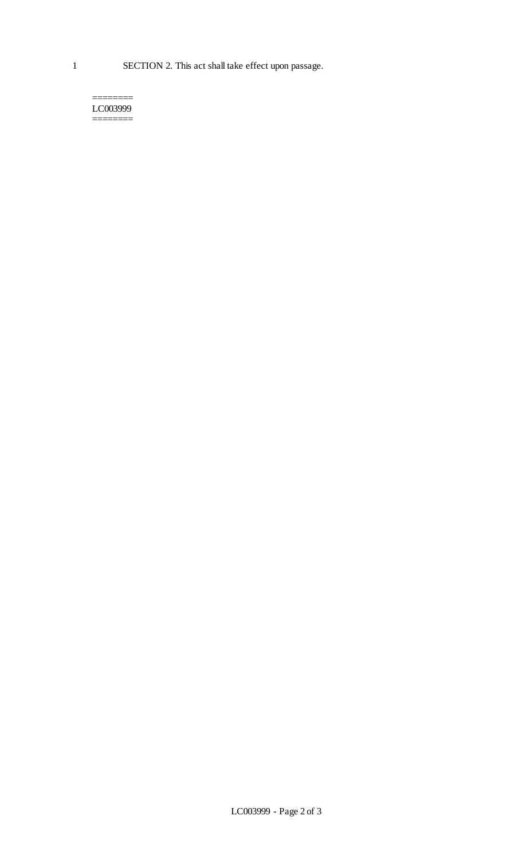1 SECTION 2. This act shall take effect upon passage.

======== LC003999 ========